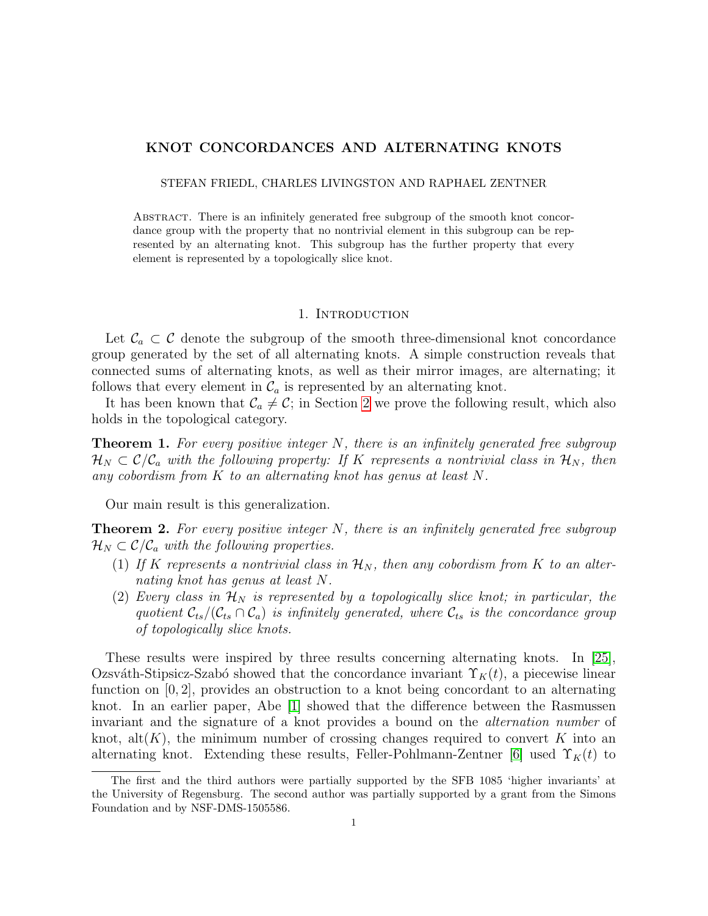# KNOT CONCORDANCES AND ALTERNATING KNOTS

STEFAN FRIEDL, CHARLES LIVINGSTON AND RAPHAEL ZENTNER

Abstract. There is an infinitely generated free subgroup of the smooth knot concordance group with the property that no nontrivial element in this subgroup can be represented by an alternating knot. This subgroup has the further property that every element is represented by a topologically slice knot.

#### 1. INTRODUCTION

Let  $\mathcal{C}_a \subset \mathcal{C}$  denote the subgroup of the smooth three-dimensional knot concordance group generated by the set of all alternating knots. A simple construction reveals that connected sums of alternating knots, as well as their mirror images, are alternating; it follows that every element in  $\mathcal{C}_a$  is represented by an alternating knot.

It has been known that  $\mathcal{C}_a \neq \mathcal{C}$ ; in Section [2](#page-1-0) we prove the following result, which also holds in the topological category.

<span id="page-0-0"></span>**Theorem 1.** For every positive integer  $N$ , there is an infinitely generated free subgroup  $\mathcal{H}_N \subset \mathcal{C}/\mathcal{C}_a$  with the following property: If K represents a nontrivial class in  $\mathcal{H}_N$ , then any cobordism from K to an alternating knot has genus at least N.

Our main result is this generalization.

<span id="page-0-1"></span>**Theorem 2.** For every positive integer  $N$ , there is an infinitely generated free subgroup  $\mathcal{H}_N \subset \mathcal{C}/\mathcal{C}_a$  with the following properties.

- (1) If K represents a nontrivial class in  $\mathcal{H}_N$ , then any cobordism from K to an alternating knot has genus at least N.
- (2) Every class in  $\mathcal{H}_N$  is represented by a topologically slice knot; in particular, the quotient  $\mathcal{C}_{ts}/(\mathcal{C}_{ts} \cap \mathcal{C}_a)$  is infinitely generated, where  $\mathcal{C}_{ts}$  is the concordance group of topologically slice knots.

These results were inspired by three results concerning alternating knots. In [\[25\]](#page-9-0), Ozsváth-Stipsicz-Szabó showed that the concordance invariant  $\Upsilon_K(t)$ , a piecewise linear function on [0, 2], provides an obstruction to a knot being concordant to an alternating knot. In an earlier paper, Abe [\[1\]](#page-8-0) showed that the difference between the Rasmussen invariant and the signature of a knot provides a bound on the alternation number of knot, alt $(K)$ , the minimum number of crossing changes required to convert K into an alternating knot. Extending these results, Feller-Pohlmann-Zentner  $|6|$  used  $\Upsilon_K(t)$  to

The first and the third authors were partially supported by the SFB 1085 'higher invariants' at the University of Regensburg. The second author was partially supported by a grant from the Simons Foundation and by NSF-DMS-1505586.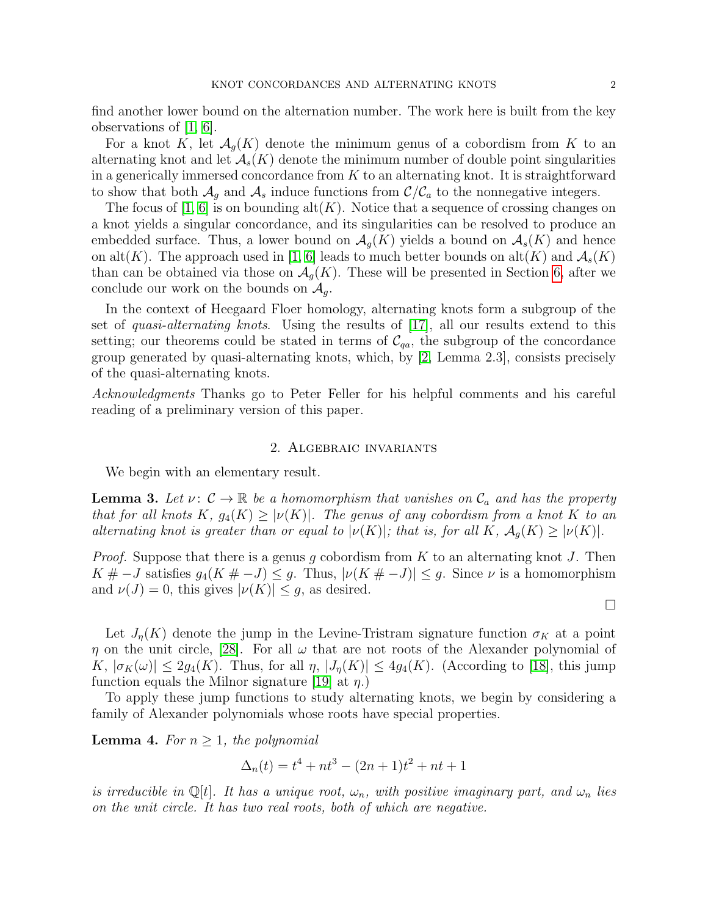find another lower bound on the alternation number. The work here is built from the key observations of [\[1,](#page-8-0) [6\]](#page-8-1).

For a knot K, let  $\mathcal{A}_{q}(K)$  denote the minimum genus of a cobordism from K to an alternating knot and let  $\mathcal{A}_{s}(K)$  denote the minimum number of double point singularities in a generically immersed concordance from  $K$  to an alternating knot. It is straightforward to show that both  $\mathcal{A}_g$  and  $\mathcal{A}_s$  induce functions from  $\mathcal{C}/\mathcal{C}_a$  to the nonnegative integers.

The focus of [\[1,](#page-8-0) [6\]](#page-8-1) is on bounding  $alt(K)$ . Notice that a sequence of crossing changes on a knot yields a singular concordance, and its singularities can be resolved to produce an embedded surface. Thus, a lower bound on  $\mathcal{A}_{g}(K)$  yields a bound on  $\mathcal{A}_{s}(K)$  and hence on alt(K). The approach used in [\[1,](#page-8-0) [6\]](#page-8-1) leads to much better bounds on alt(K) and  $\mathcal{A}_{s}(K)$ than can be obtained via those on  $\mathcal{A}_{q}(K)$ . These will be presented in Section [6,](#page-6-0) after we conclude our work on the bounds on  $\mathcal{A}_q$ .

In the context of Heegaard Floer homology, alternating knots form a subgroup of the set of *quasi-alternating knots*. Using the results of  $[17]$ , all our results extend to this setting; our theorems could be stated in terms of  $\mathcal{C}_{qa}$ , the subgroup of the concordance group generated by quasi-alternating knots, which, by [\[2,](#page-8-2) Lemma 2.3], consists precisely of the quasi-alternating knots.

Acknowledgments Thanks go to Peter Feller for his helpful comments and his careful reading of a preliminary version of this paper.

### 2. Algebraic invariants

<span id="page-1-0"></span>We begin with an elementary result.

<span id="page-1-1"></span>**Lemma 3.** Let  $\nu: \mathcal{C} \to \mathbb{R}$  be a homomorphism that vanishes on  $\mathcal{C}_a$  and has the property that for all knots K,  $g_4(K) \geq |\nu(K)|$ . The genus of any cobordism from a knot K to an alternating knot is greater than or equal to  $|\nu(K)|$ ; that is, for all K,  $\mathcal{A}_q(K) \geq |\nu(K)|$ .

*Proof.* Suppose that there is a genus q cobordism from K to an alternating knot J. Then  $K # -J$  satisfies  $g_4(K # -J) \leq g$ . Thus,  $|\nu(K# -J)| \leq g$ . Since  $\nu$  is a homomorphism and  $\nu(J) = 0$ , this gives  $|\nu(K)| \leq g$ , as desired.

Let  $J_{\eta}(K)$  denote the jump in the Levine-Tristram signature function  $\sigma_K$  at a point  $\eta$  on the unit circle, [\[28\]](#page-9-2). For all  $\omega$  that are not roots of the Alexander polynomial of  $K, |\sigma_K(\omega)| \leq 2g_4(K)$ . Thus, for all  $\eta$ ,  $|J_{\eta}(K)| \leq 4g_4(K)$ . (According to [\[18\]](#page-9-3), this jump function equals the Milnor signature [\[19\]](#page-9-4) at  $\eta$ .)

To apply these jump functions to study alternating knots, we begin by considering a family of Alexander polynomials whose roots have special properties.

**Lemma 4.** For  $n \geq 1$ , the polynomial

$$
\Delta_n(t) = t^4 + nt^3 - (2n+1)t^2 + nt + 1
$$

is irreducible in Q[t]. It has a unique root,  $\omega_n$ , with positive imaginary part, and  $\omega_n$  lies on the unit circle. It has two real roots, both of which are negative.

 $\Box$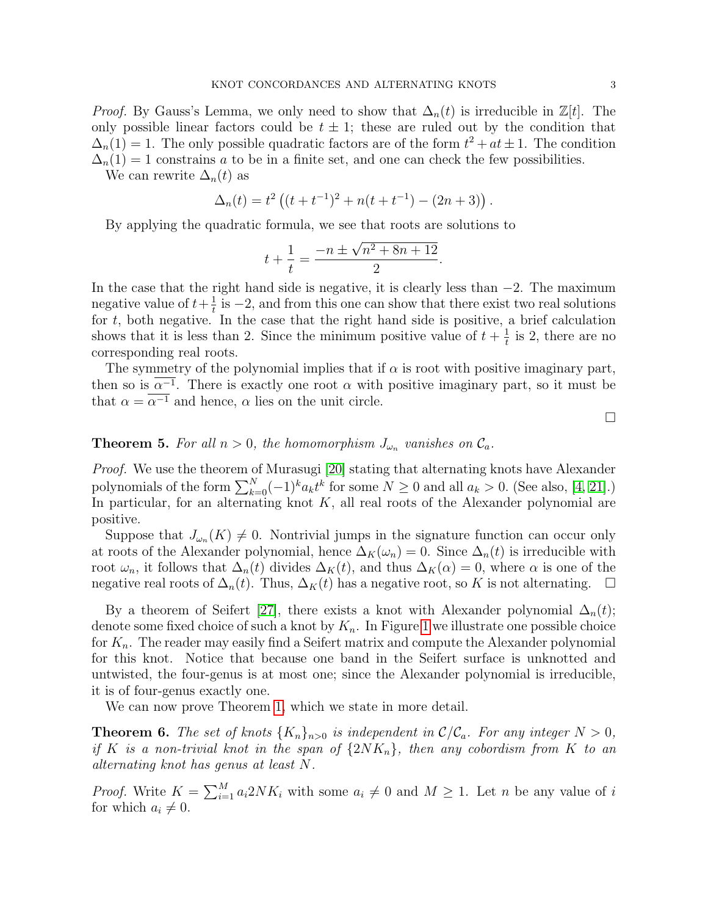*Proof.* By Gauss's Lemma, we only need to show that  $\Delta_n(t)$  is irreducible in  $\mathbb{Z}[t]$ . The only possible linear factors could be  $t \pm 1$ ; these are ruled out by the condition that  $\Delta_n(1) = 1$ . The only possible quadratic factors are of the form  $t^2 + at \pm 1$ . The condition  $\Delta_n(1) = 1$  constrains a to be in a finite set, and one can check the few possibilities.

We can rewrite  $\Delta_n(t)$  as

$$
\Delta_n(t) = t^2 \left( (t + t^{-1})^2 + n(t + t^{-1}) - (2n + 3) \right).
$$

By applying the quadratic formula, we see that roots are solutions to

$$
t + \frac{1}{t} = \frac{-n \pm \sqrt{n^2 + 8n + 12}}{2}.
$$

In the case that the right hand side is negative, it is clearly less than  $-2$ . The maximum negative value of  $t+\frac{1}{t}$  $\frac{1}{t}$  is  $-2$ , and from this one can show that there exist two real solutions for  $t$ , both negative. In the case that the right hand side is positive, a brief calculation shows that it is less than 2. Since the minimum positive value of  $t + \frac{1}{t}$  $\frac{1}{t}$  is 2, there are no corresponding real roots.

The symmetry of the polynomial implies that if  $\alpha$  is root with positive imaginary part, then so is  $\alpha^{-1}$ . There is exactly one root  $\alpha$  with positive imaginary part, so it must be that  $\alpha = \overline{\alpha^{-1}}$  and hence,  $\alpha$  lies on the unit circle.

**Theorem 5.** For all  $n > 0$ , the homomorphism  $J_{\omega_n}$  vanishes on  $\mathcal{C}_a$ .

Proof. We use the theorem of Murasugi [\[20\]](#page-9-5) stating that alternating knots have Alexander polynomials of the form  $\sum_{k=0}^{N}(-1)^{k}a_{k}t^{k}$  for some  $N\geq 0$  and all  $a_{k}>0$ . (See also, [\[4,](#page-8-3) [21\]](#page-9-6).) In particular, for an alternating knot  $K$ , all real roots of the Alexander polynomial are positive.

Suppose that  $J_{\omega_n}(K) \neq 0$ . Nontrivial jumps in the signature function can occur only at roots of the Alexander polynomial, hence  $\Delta_K(\omega_n) = 0$ . Since  $\Delta_n(t)$  is irreducible with root  $\omega_n$ , it follows that  $\Delta_n(t)$  divides  $\Delta_K(t)$ , and thus  $\Delta_K(\alpha) = 0$ , where  $\alpha$  is one of the negative real roots of  $\Delta_n(t)$ . Thus,  $\Delta_K(t)$  has a negative root, so K is not alternating.  $\Box$ 

By a theorem of Seifert [\[27\]](#page-9-7), there exists a knot with Alexander polynomial  $\Delta_n(t)$ ; denote some fixed choice of such a knot by  $K_n$ . In Figure [1](#page-3-0) we illustrate one possible choice for  $K_n$ . The reader may easily find a Seifert matrix and compute the Alexander polynomial for this knot. Notice that because one band in the Seifert surface is unknotted and untwisted, the four-genus is at most one; since the Alexander polynomial is irreducible, it is of four-genus exactly one.

We can now prove Theorem [1,](#page-0-0) which we state in more detail.

**Theorem 6.** The set of knots  $\{K_n\}_{n>0}$  is independent in  $\mathcal{C}/\mathcal{C}_a$ . For any integer  $N > 0$ , if K is a non-trivial knot in the span of  $\{2NK_n\}$ , then any cobordism from K to an alternating knot has genus at least N.

*Proof.* Write  $K = \sum_{i=1}^{M} a_i 2NK_i$  with some  $a_i \neq 0$  and  $M \geq 1$ . Let n be any value of i for which  $a_i \neq 0$ .

 $\Box$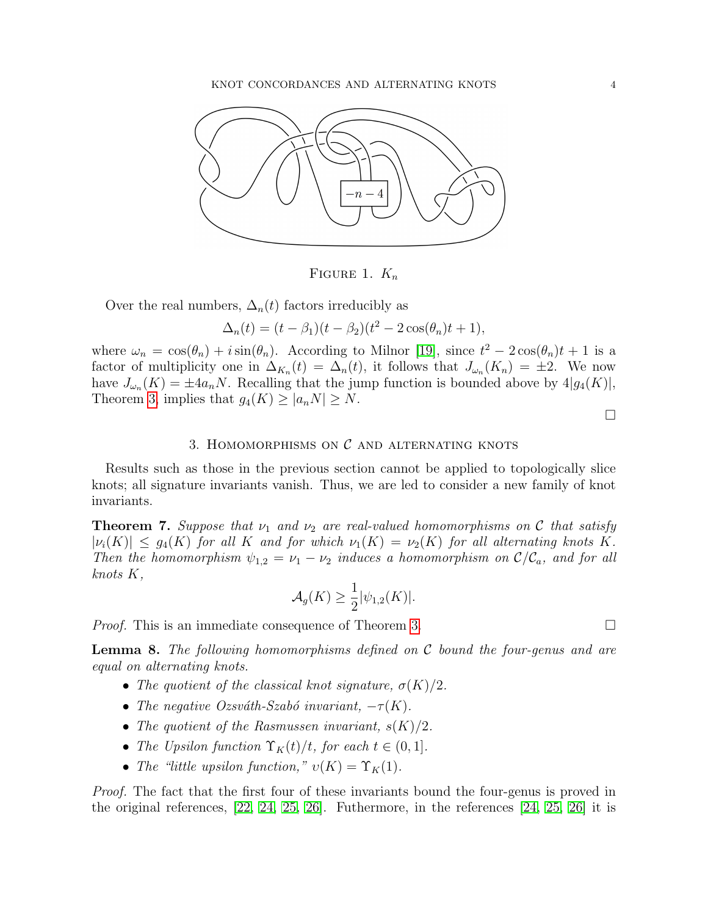

<span id="page-3-0"></span>FIGURE 1.  $K_n$ 

Over the real numbers,  $\Delta_n(t)$  factors irreducibly as

 $\Delta_n(t) = (t - \beta_1)(t - \beta_2)(t^2 - 2\cos(\theta_n)t + 1),$ 

where  $\omega_n = \cos(\theta_n) + i \sin(\theta_n)$ . According to Milnor [\[19\]](#page-9-4), since  $t^2 - 2 \cos(\theta_n)t + 1$  is a factor of multiplicity one in  $\Delta_{K_n}(t) = \Delta_n(t)$ , it follows that  $J_{\omega_n}(K_n) = \pm 2$ . We now have  $J_{\omega_n}(K) = \pm 4a_nN$ . Recalling that the jump function is bounded above by  $4|g_4(K)|$ , Theorem [3,](#page-1-1) implies that  $g_4(K) \geq |a_n N| \geq N$ .

 $\Box$ 

## 3. HOMOMORPHISMS ON  $\mathcal C$  and alternating knots

Results such as those in the previous section cannot be applied to topologically slice knots; all signature invariants vanish. Thus, we are led to consider a new family of knot invariants.

<span id="page-3-1"></span>**Theorem 7.** Suppose that  $\nu_1$  and  $\nu_2$  are real-valued homomorphisms on C that satisfy  $|\nu_i(K)| \leq g_4(K)$  for all K and for which  $\nu_1(K) = \nu_2(K)$  for all alternating knots K. Then the homomorphism  $\psi_{1,2} = \nu_1 - \nu_2$  induces a homomorphism on  $\mathcal{C}/\mathcal{C}_a$ , and for all knots K,

$$
\mathcal{A}_g(K) \geq \frac{1}{2} |\psi_{1,2}(K)|.
$$

*Proof.* This is an immediate consequence of Theorem [3.](#page-1-1)

**Lemma 8.** The following homomorphisms defined on C bound the four-genus and are equal on alternating knots.

- The quotient of the classical knot signature,  $\sigma(K)/2$ .
- The negative Ozsváth-Szabó invariant,  $-\tau(K)$ .
- The quotient of the Rasmussen invariant,  $s(K)/2$ .
- The Upsilon function  $\Upsilon_K(t)/t$ , for each  $t \in (0,1]$ .
- The "little upsilon function,"  $v(K) = \Upsilon_K(1)$ .

Proof. The fact that the first four of these invariants bound the four-genus is proved in the original references, [\[22,](#page-9-8) [24,](#page-9-9) [25,](#page-9-0) [26\]](#page-9-10). Futhermore, in the references [\[24,](#page-9-9) [25,](#page-9-0) [26\]](#page-9-10) it is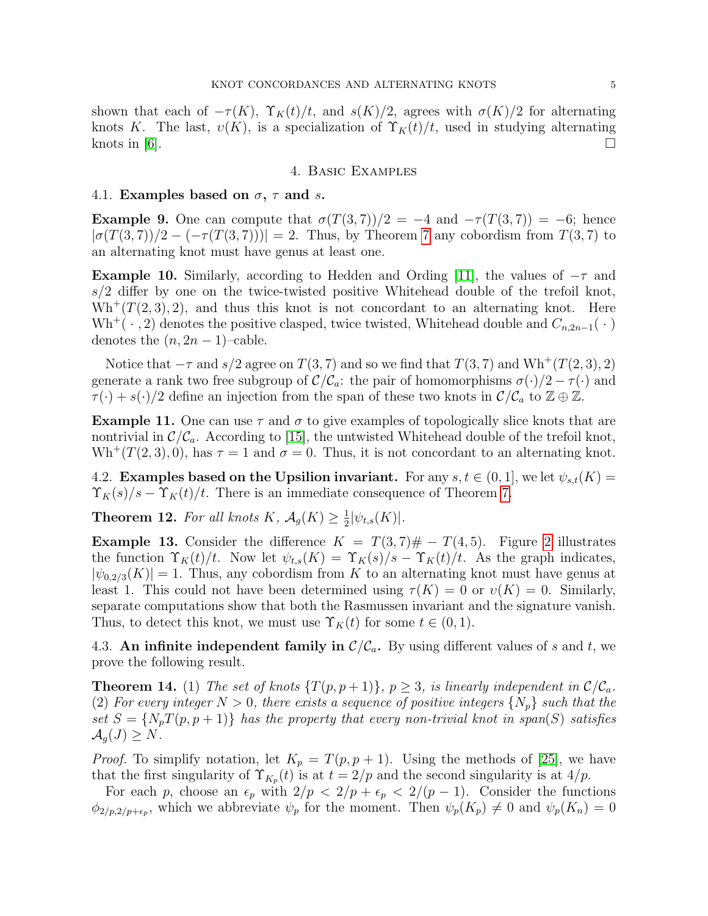shown that each of  $-\tau(K)$ ,  $\Upsilon_K(t)/t$ , and  $s(K)/2$ , agrees with  $\sigma(K)/2$  for alternating knots K. The last,  $v(K)$ , is a specialization of  $\Upsilon_K(t)/t$ , used in studying alternating knots in [\[6\]](#page-8-1).

### 4. Basic Examples

#### 4.1. Examples based on  $\sigma$ ,  $\tau$  and s.

**Example 9.** One can compute that  $\sigma(T(3, 7))/2 = -4$  and  $-\tau(T(3, 7)) = -6$ ; hence  $|\sigma(T(3,7))/2 - (-\tau(T(3,7)))| = 2$ . Thus, by Theorem [7](#page-3-1) any cobordism from  $T(3,7)$  to an alternating knot must have genus at least one.

**Example 10.** Similarly, according to Hedden and Ording [\[11\]](#page-9-11), the values of  $-\tau$  and  $s/2$  differ by one on the twice-twisted positive Whitehead double of the trefoil knot,  $\text{Wh}^+(T(2,3),2)$ , and thus this knot is not concordant to an alternating knot. Here  $\text{Wh}^+(\cdot, 2)$  denotes the positive clasped, twice twisted, Whitehead double and  $C_{n,2n-1}(\cdot)$ denotes the  $(n, 2n - 1)$ –cable.

Notice that  $-\tau$  and  $s/2$  agree on  $T(3, 7)$  and so we find that  $T(3, 7)$  and  $Wh^+(T(2, 3), 2)$ generate a rank two free subgroup of  $\mathcal{C}/\mathcal{C}_a$ : the pair of homomorphisms  $\sigma(\cdot)/2 - \tau(\cdot)$  and  $\tau(\cdot) + s(\cdot)/2$  define an injection from the span of these two knots in  $\mathcal{C}/\mathcal{C}_a$  to  $\mathbb{Z} \oplus \mathbb{Z}$ .

**Example 11.** One can use  $\tau$  and  $\sigma$  to give examples of topologically slice knots that are nontrivial in  $\mathcal{C}/\mathcal{C}_a$ . According to [\[15\]](#page-9-12), the untwisted Whitehead double of the trefoil knot,  $Wh^+(T(2,3),0)$ , has  $\tau = 1$  and  $\sigma = 0$ . Thus, it is not concordant to an alternating knot.

4.2. Examples based on the Upsilion invariant. For any  $s, t \in (0, 1]$ , we let  $\psi_{s,t}(K) =$  $\Upsilon_K(s)/s - \Upsilon_K(t)/t$ . There is an immediate consequence of Theorem [7.](#page-3-1)

<span id="page-4-1"></span>**Theorem 12.** For all knots  $K$ ,  $\mathcal{A}_g(K) \geq \frac{1}{2}$  $\frac{1}{2}|\psi_{t,s}(K)|.$ 

**Example 13.** Consider the difference  $K = T(3, 7) \# - T(4, 5)$ . Figure [2](#page-5-0) illustrates the function  $\Upsilon_K(t)/t$ . Now let  $\psi_{t,s}(K) = \Upsilon_K(s)/s - \Upsilon_K(t)/t$ . As the graph indicates,  $|\psi_{0.2/3}(K)| = 1$ . Thus, any cobordism from K to an alternating knot must have genus at least 1. This could not have been determined using  $\tau(K) = 0$  or  $v(K) = 0$ . Similarly, separate computations show that both the Rasmussen invariant and the signature vanish. Thus, to detect this knot, we must use  $\Upsilon_K(t)$  for some  $t \in (0,1)$ .

4.3. An infinite independent family in  $\mathcal{C}/\mathcal{C}_a$ . By using different values of s and t, we prove the following result.

<span id="page-4-0"></span>**Theorem 14.** (1) The set of knots  $\{T(p, p+1)\}\$ ,  $p \geq 3$ , is linearly independent in  $\mathcal{C}/\mathcal{C}_a$ . (2) For every integer  $N > 0$ , there exists a sequence of positive integers  $\{N_p\}$  such that the set  $S = \{N_pT(p, p+1)\}\$  has the property that every non-trivial knot in span(S) satisfies  $\mathcal{A}_q(J) \geq N$ .

*Proof.* To simplify notation, let  $K_p = T(p, p + 1)$ . Using the methods of [\[25\]](#page-9-0), we have that the first singularity of  $\Upsilon_{K_p}(t)$  is at  $t = 2/p$  and the second singularity is at 4/p.

For each p, choose an  $\epsilon_p$  with  $2/p < 2/p + \epsilon_p < 2/(p-1)$ . Consider the functions  $\phi_{2/p,2/p+\epsilon_p}$ , which we abbreviate  $\psi_p$  for the moment. Then  $\psi_p(K_p) \neq 0$  and  $\psi_p(K_n) = 0$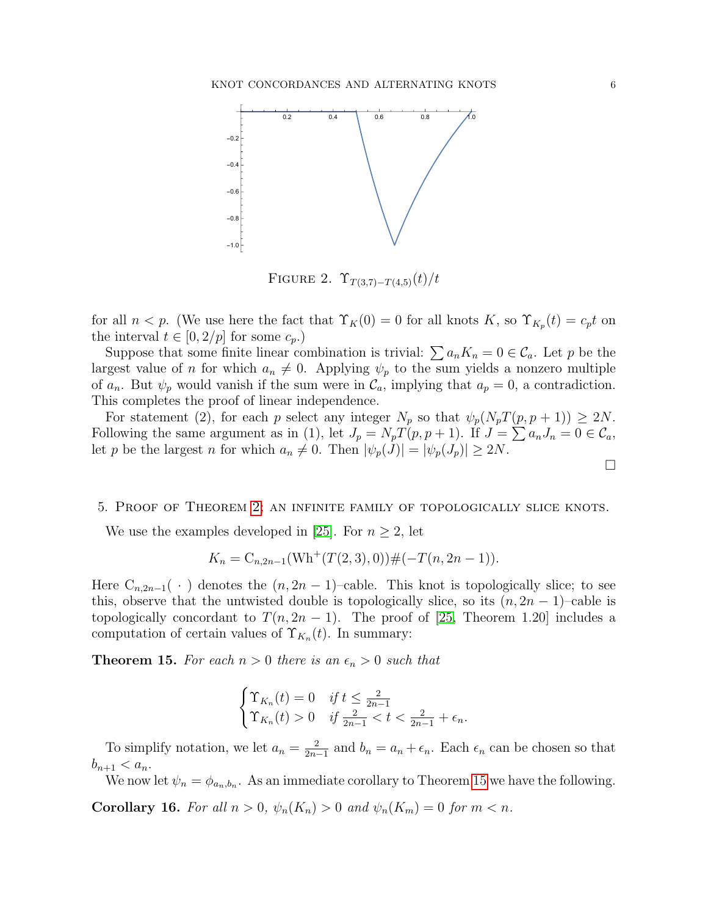

<span id="page-5-0"></span>FIGURE 2.  $\Upsilon_{T(3,7)-T(4,5)}(t)/t$ 

for all  $n < p$ . (We use here the fact that  $\Upsilon_K(0) = 0$  for all knots K, so  $\Upsilon_{K_p}(t) = c_p t$  on the interval  $t \in [0, 2/p]$  for some  $c_p$ .

Suppose that some finite linear combination is trivial:  $\sum a_n K_n = 0 \in \mathcal{C}_a$ . Let p be the largest value of n for which  $a_n \neq 0$ . Applying  $\psi_p$  to the sum yields a nonzero multiple of  $a_n$ . But  $\psi_p$  would vanish if the sum were in  $\mathcal{C}_a$ , implying that  $a_p = 0$ , a contradiction. This completes the proof of linear independence.

For statement (2), for each p select any integer  $N_p$  so that  $\psi_p(N_pT(p, p+1)) \geq 2N$ . Following the same argument as in (1), let  $J_p = N_p T(p, p + 1)$ . If  $J = \sum a_n J_n = 0 \in \mathcal{C}_a$ , let p be the largest n for which  $a_n \neq 0$ . Then  $|\psi_p(\tilde{J})| = |\psi_p(\tilde{J}_p)| \geq 2N$ .  $\Box$ 

#### 5. Proof of Theorem [2;](#page-0-1) an infinite family of topologically slice knots.

We use the examples developed in [\[25\]](#page-9-0). For  $n \geq 2$ , let

$$
K_n = C_{n,2n-1}(\text{Wh}^+(T(2,3),0)) \#(-T(n,2n-1)).
$$

Here  $C_{n,2n-1}(\cdot)$  denotes the  $(n,2n-1)$ –cable. This knot is topologically slice; to see this, observe that the untwisted double is topologically slice, so its  $(n, 2n - 1)$ –cable is topologically concordant to  $T(n, 2n - 1)$ . The proof of [\[25,](#page-9-0) Theorem 1.20] includes a computation of certain values of  $\Upsilon_{K_n}(t)$ . In summary:

<span id="page-5-1"></span>**Theorem 15.** For each  $n > 0$  there is an  $\epsilon_n > 0$  such that

$$
\begin{cases} \Upsilon_{K_n}(t) = 0 & \text{if } t \le \frac{2}{2n-1} \\ \Upsilon_{K_n}(t) > 0 & \text{if } \frac{2}{2n-1} < t < \frac{2}{2n-1} + \epsilon_n. \end{cases}
$$

To simplify notation, we let  $a_n = \frac{2}{2n^2}$  $\frac{2}{2n-1}$  and  $b_n = a_n + \epsilon_n$ . Each  $\epsilon_n$  can be chosen so that  $b_{n+1} < a_n$ .

We now let  $\psi_n = \phi_{a_n, b_n}$ . As an immediate corollary to Theorem [15](#page-5-1) we have the following.

<span id="page-5-2"></span>**Corollary 16.** For all  $n > 0$ ,  $\psi_n(K_n) > 0$  and  $\psi_n(K_m) = 0$  for  $m < n$ .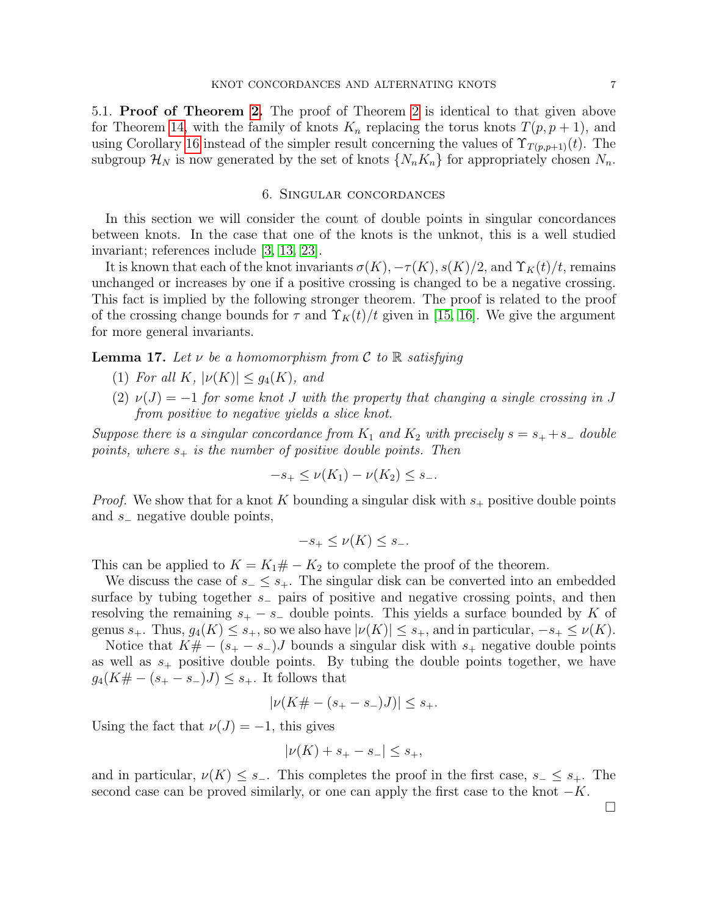5.1. Proof of Theorem [2.](#page-0-1) The proof of Theorem [2](#page-0-1) is identical to that given above for Theorem [14,](#page-4-0) with the family of knots  $K_n$  replacing the torus knots  $T(p, p + 1)$ , and using Corollary [16](#page-5-2) instead of the simpler result concerning the values of  $\Upsilon_{T(p,p+1)}(t)$ . The subgroup  $\mathcal{H}_N$  is now generated by the set of knots  $\{N_nK_n\}$  for appropriately chosen  $N_n$ .

## 6. Singular concordances

<span id="page-6-0"></span>In this section we will consider the count of double points in singular concordances between knots. In the case that one of the knots is the unknot, this is a well studied invariant; references include [\[3,](#page-8-4) [13,](#page-9-13) [23\]](#page-9-14).

It is known that each of the knot invariants  $\sigma(K)$ ,  $-\tau(K)$ ,  $s(K)/2$ , and  $\Upsilon_K(t)/t$ , remains unchanged or increases by one if a positive crossing is changed to be a negative crossing. This fact is implied by the following stronger theorem. The proof is related to the proof of the crossing change bounds for  $\tau$  and  $\Upsilon_K(t)/t$  given in [\[15,](#page-9-12) [16\]](#page-9-15). We give the argument for more general invariants.

<span id="page-6-1"></span>**Lemma 17.** Let  $\nu$  be a homomorphism from C to R satisfying

- (1) For all K,  $|\nu(K)| \leq g_4(K)$ , and
- (2)  $\nu(J) = -1$  for some knot J with the property that changing a single crossing in J from positive to negative yields a slice knot.

Suppose there is a singular concordance from  $K_1$  and  $K_2$  with precisely  $s = s_+ + s_-$  double points, where  $s_+$  is the number of positive double points. Then

$$
-s_+ \le \nu(K_1) - \nu(K_2) \le s_-.
$$

*Proof.* We show that for a knot K bounding a singular disk with  $s_+$  positive double points and s<sup>−</sup> negative double points,

$$
-s_+ \le \nu(K) \le s_-.
$$

This can be applied to  $K = K_1 \# - K_2$  to complete the proof of the theorem.

We discuss the case of  $s_-\leq s_+$ . The singular disk can be converted into an embedded surface by tubing together s<sub>−</sub> pairs of positive and negative crossing points, and then resolving the remaining  $s_{+} - s_{-}$  double points. This yields a surface bounded by K of genus  $s_+$ . Thus,  $g_4(K) \leq s_+$ , so we also have  $|\nu(K)| \leq s_+$ , and in particular,  $-s_+ \leq \nu(K)$ .

Notice that  $K# - (s_{+} - s_{-})J$  bounds a singular disk with  $s_{+}$  negative double points as well as  $s_{+}$  positive double points. By tubing the double points together, we have  $g_4(K \# - (s_+ - s_-)J) \leq s_+$ . It follows that

$$
|\nu(K \# - (s_{+} - s_{-})J)| \leq s_{+}.
$$

Using the fact that  $\nu(J) = -1$ , this gives

$$
|\nu(K) + s_+ - s_-| \leq s_+,
$$

and in particular,  $\nu(K) \leq s_-\$ . This completes the proof in the first case,  $s_-\leq s_+$ . The second case can be proved similarly, or one can apply the first case to the knot  $-K$ .

 $\Box$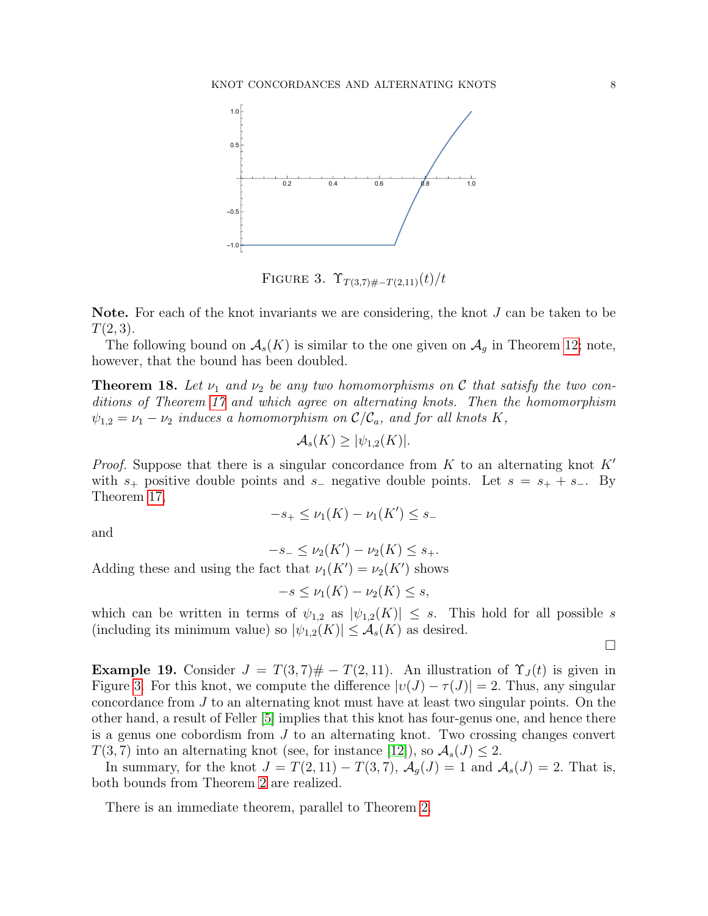

<span id="page-7-0"></span>FIGURE 3.  $\Upsilon_{T(3,7)\#-T(2,11)}(t)/t$ 

**Note.** For each of the knot invariants we are considering, the knot  $J$  can be taken to be  $T(2,3)$ .

The following bound on  $\mathcal{A}_{s}(K)$  is similar to the one given on  $\mathcal{A}_{g}$  in Theorem [12;](#page-4-1) note, however, that the bound has been doubled.

**Theorem 18.** Let  $\nu_1$  and  $\nu_2$  be any two homomorphisms on C that satisfy the two conditions of Theorem [17](#page-6-1) and which agree on alternating knots. Then the homomorphism  $\psi_{1,2} = \nu_1 - \nu_2$  induces a homomorphism on  $\mathcal{C}/\mathcal{C}_a$ , and for all knots K,

$$
\mathcal{A}_s(K) \ge |\psi_{1,2}(K)|.
$$

*Proof.* Suppose that there is a singular concordance from K to an alternating knot  $K'$ with  $s_+$  positive double points and  $s_-$  negative double points. Let  $s = s_+ + s_-$ . By Theorem [17,](#page-6-1)

$$
-s_+ \le \nu_1(K) - \nu_1(K') \le s_-
$$

and

 $-s_- \leq \nu_2(K') - \nu_2(K) \leq s_+.$ 

Adding these and using the fact that  $\nu_1(K') = \nu_2(K')$  shows

 $-s \leq \nu_1(K) - \nu_2(K) \leq s,$ 

which can be written in terms of  $\psi_{1,2}$  as  $|\psi_{1,2}(K)| \leq s$ . This hold for all possible s (including its minimum value) so  $|\psi_{1,2}(K)| \leq \mathcal{A}_s(K)$  as desired.

 $\Box$ 

**Example 19.** Consider  $J = T(3, 7) \# - T(2, 11)$ . An illustration of  $\Upsilon_J(t)$  is given in Figure [3.](#page-7-0) For this knot, we compute the difference  $|v(J) - \tau(J)| = 2$ . Thus, any singular concordance from J to an alternating knot must have at least two singular points. On the other hand, a result of Feller [\[5\]](#page-8-5) implies that this knot has four-genus one, and hence there is a genus one cobordism from  $J$  to an alternating knot. Two crossing changes convert  $T(3, 7)$  into an alternating knot (see, for instance [\[12\]](#page-9-16)), so  $\mathcal{A}_s(J) \leq 2$ .

In summary, for the knot  $J = T(2, 11) - T(3, 7)$ ,  $\mathcal{A}_g(J) = 1$  and  $\mathcal{A}_s(J) = 2$ . That is, both bounds from Theorem [2](#page-0-1) are realized.

There is an immediate theorem, parallel to Theorem [2.](#page-0-1)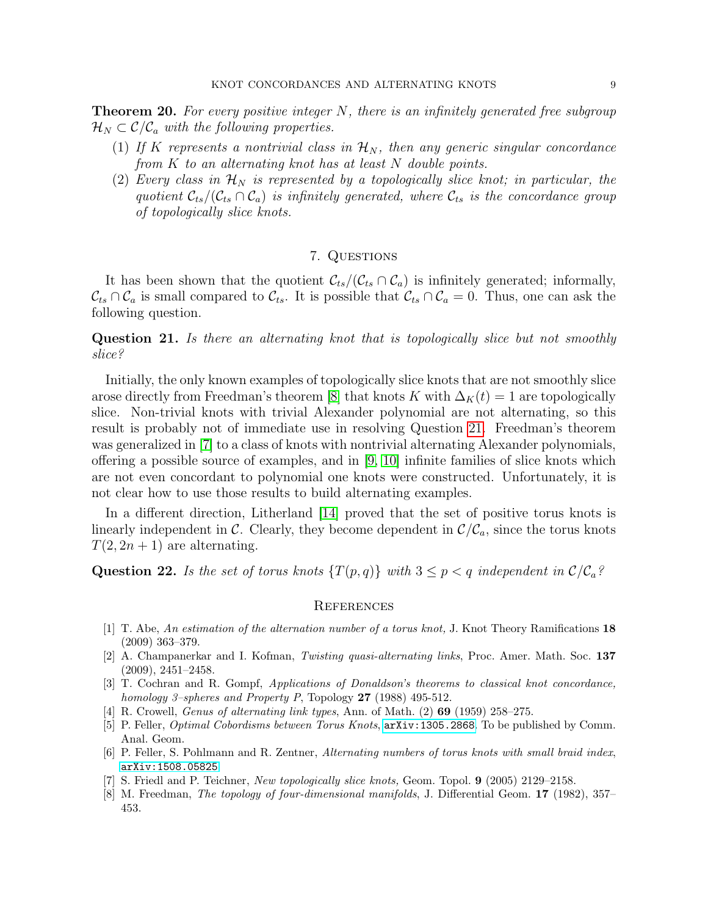**Theorem 20.** For every positive integer  $N$ , there is an infinitely generated free subgroup  $\mathcal{H}_N \subset \mathcal{C}/\mathcal{C}_a$  with the following properties.

- (1) If K represents a nontrivial class in  $\mathcal{H}_N$ , then any generic singular concordance from K to an alternating knot has at least N double points.
- (2) Every class in  $\mathcal{H}_N$  is represented by a topologically slice knot; in particular, the quotient  $\mathcal{C}_{ts}/(\mathcal{C}_{ts} \cap \mathcal{C}_a)$  is infinitely generated, where  $\mathcal{C}_{ts}$  is the concordance group of topologically slice knots.

# 7. Questions

It has been shown that the quotient  $\mathcal{C}_{ts}/(\mathcal{C}_{ts} \cap \mathcal{C}_a)$  is infinitely generated; informally,  $\mathcal{C}_{ts} \cap \mathcal{C}_a$  is small compared to  $\mathcal{C}_{ts}$ . It is possible that  $\mathcal{C}_{ts} \cap \mathcal{C}_a = 0$ . Thus, one can ask the following question.

<span id="page-8-7"></span>Question 21. Is there an alternating knot that is topologically slice but not smoothly slice?

Initially, the only known examples of topologically slice knots that are not smoothly slice arose directly from Freedman's theorem [\[8\]](#page-8-6) that knots K with  $\Delta_K(t) = 1$  are topologically slice. Non-trivial knots with trivial Alexander polynomial are not alternating, so this result is probably not of immediate use in resolving Question [21.](#page-8-7) Freedman's theorem was generalized in [\[7\]](#page-8-8) to a class of knots with nontrivial alternating Alexander polynomials, offering a possible source of examples, and in [\[9,](#page-9-17) [10\]](#page-9-18) infinite families of slice knots which are not even concordant to polynomial one knots were constructed. Unfortunately, it is not clear how to use those results to build alternating examples.

In a different direction, Litherland [\[14\]](#page-9-19) proved that the set of positive torus knots is linearly independent in C. Clearly, they become dependent in  $\mathcal{C}/\mathcal{C}_a$ , since the torus knots  $T(2, 2n + 1)$  are alternating.

Question 22. Is the set of torus knots  $\{T(p,q)\}\$  with  $3 \leq p < q$  independent in  $\mathcal{C}/\mathcal{C}_a$ ?

#### **REFERENCES**

- <span id="page-8-0"></span>[1] T. Abe, An estimation of the alternation number of a torus knot, J. Knot Theory Ramifications 18 (2009) 363–379.
- <span id="page-8-2"></span>[2] A. Champanerkar and I. Kofman, Twisting quasi-alternating links, Proc. Amer. Math. Soc. 137 (2009), 2451–2458.
- <span id="page-8-4"></span>[3] T. Cochran and R. Gompf, Applications of Donaldson's theorems to classical knot concordance, homology 3–spheres and Property P, Topology  $27$  (1988) 495-512.
- <span id="page-8-3"></span>[4] R. Crowell, *Genus of alternating link types*, Ann. of Math. (2) **69** (1959) 258–275.
- <span id="page-8-5"></span>[5] P. Feller, *Optimal Cobordisms between Torus Knots*,  $arXiv:1305.2868$ . To be published by Comm. Anal. Geom.
- <span id="page-8-1"></span>[6] P. Feller, S. Pohlmann and R. Zentner, Alternating numbers of torus knots with small braid index, <arXiv:1508.05825>.
- <span id="page-8-8"></span>[7] S. Friedl and P. Teichner, New topologically slice knots, Geom. Topol. 9 (2005) 2129–2158.
- <span id="page-8-6"></span>[8] M. Freedman, The topology of four-dimensional manifolds, J. Differential Geom. 17 (1982), 357– 453.